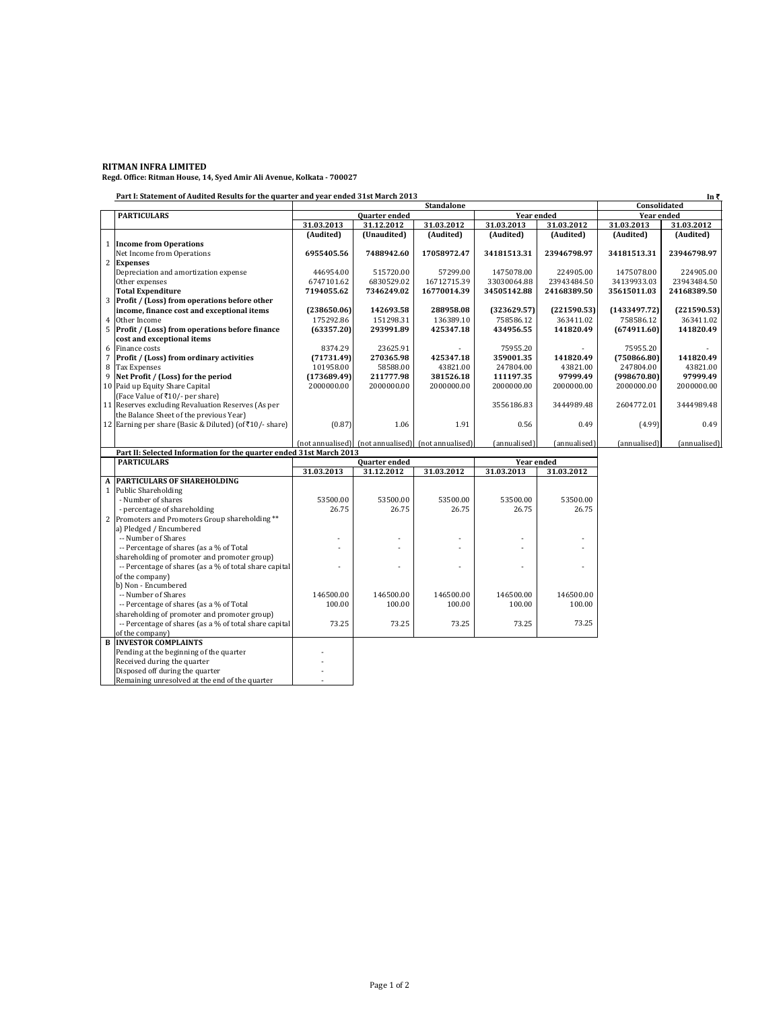**RITMAN INFRA LIMITED Regd. Office: Ritman House, 14, Syed Amir Ali Avenue, Kolkata - 700027**

**Part I: Statement of Audited Results for the quarter and year ended 31st March 2013**

|                | Part I: Statement of Audited Results for the quarter and year ended 31st March 2013<br>In₹ |                                    |             |                                                    |                   |              |              |              |
|----------------|--------------------------------------------------------------------------------------------|------------------------------------|-------------|----------------------------------------------------|-------------------|--------------|--------------|--------------|
|                |                                                                                            | <b>Standalone</b>                  |             |                                                    |                   | Consolidated |              |              |
|                | <b>PARTICULARS</b>                                                                         | Year ended<br>Quarter ended        |             |                                                    | <b>Year ended</b> |              |              |              |
|                |                                                                                            | 31.03.2013                         | 31.12.2012  | 31.03.2012                                         | 31.03.2013        | 31.03.2012   | 31.03.2013   | 31.03.2012   |
|                |                                                                                            | (Audited)                          | (Unaudited) | (Audited)                                          | (Audited)         | (Audited)    | (Audited)    | (Audited)    |
| $\mathbf{1}$   | <b>Income from Operations</b>                                                              |                                    |             |                                                    |                   |              |              |              |
|                | Net Income from Operations                                                                 | 6955405.56                         | 7488942.60  | 17058972.47                                        | 34181513.31       | 23946798.97  | 34181513.31  | 23946798.97  |
| $\overline{2}$ | <b>Expenses</b>                                                                            |                                    |             |                                                    |                   |              |              |              |
|                | Depreciation and amortization expense                                                      | 446954.00                          | 515720.00   | 57299.00                                           | 1475078.00        | 224905.00    | 1475078.00   | 224905.00    |
|                | Other expenses                                                                             | 6747101.62                         | 6830529.02  | 16712715.39                                        | 33030064.88       | 23943484.50  | 34139933.03  | 23943484.50  |
|                | <b>Total Expenditure</b>                                                                   | 7194055.62                         | 7346249.02  | 16770014.39                                        | 34505142.88       | 24168389.50  | 35615011.03  | 24168389.50  |
|                | 3 Profit / (Loss) from operations before other                                             |                                    |             |                                                    |                   |              |              |              |
|                | income, finance cost and exceptional items                                                 | (238650.06)                        | 142693.58   | 288958.08                                          | (323629.57)       | (221590.53)  | (1433497.72) | (221590.53)  |
| $\overline{4}$ | Other Income                                                                               | 175292.86                          | 151298.31   | 136389.10                                          | 758586.12         | 363411.02    | 758586.12    | 363411.02    |
|                | 5 Profit / (Loss) from operations before finance                                           | (63357.20)                         | 293991.89   | 425347.18                                          | 434956.55         | 141820.49    | (674911.60)  | 141820.49    |
|                | cost and exceptional items                                                                 |                                    |             |                                                    |                   |              |              |              |
| 6              | Finance costs                                                                              | 8374.29                            | 23625.91    |                                                    | 75955.20          |              | 75955.20     |              |
|                | Profit / (Loss) from ordinary activities                                                   | (71731.49)                         | 270365.98   | 425347.18                                          | 359001.35         | 141820.49    | (750866.80)  | 141820.49    |
| 8              | <b>Tax Expenses</b>                                                                        | 101958.00                          | 58588.00    | 43821.00                                           | 247804.00         | 43821.00     | 247804.00    | 43821.00     |
|                | 9 Net Profit / (Loss) for the period                                                       | (173689.49)                        | 211777.98   | 381526.18                                          | 111197.35         | 97999.49     | (998670.80)  | 97999.49     |
|                | 10 Paid up Equity Share Capital                                                            | 2000000.00                         | 2000000.00  | 2000000.00                                         | 2000000.00        | 2000000.00   | 2000000.00   | 2000000.00   |
|                | (Face Value of ₹10/- per share)                                                            |                                    |             |                                                    |                   |              |              |              |
|                | 11 Reserves excluding Revaluation Reserves (As per                                         |                                    |             |                                                    | 3556186.83        | 3444989.48   | 2604772.01   | 3444989.48   |
|                | the Balance Sheet of the previous Year)                                                    |                                    |             |                                                    |                   |              |              |              |
|                | 12 Earning per share (Basic & Diluted) (of₹10/- share)                                     | (0.87)                             | 1.06        | 1.91                                               | 0.56              | 0.49         | (4.99)       | 0.49         |
|                |                                                                                            |                                    |             |                                                    |                   |              |              |              |
|                |                                                                                            |                                    |             | (not annualised) (not annualised) (not annualised) | (annualised)      | (annualised) | (annualised) | (annualised) |
|                | Part II: Selected Information for the quarter ended 31st March 2013                        |                                    |             |                                                    |                   |              |              |              |
|                | <b>PARTICULARS</b>                                                                         | <b>Quarter</b> ended<br>Year ended |             |                                                    |                   |              |              |              |
|                |                                                                                            | 31.03.2013                         | 31.12.2012  | 31.03.2012                                         | 31.03.2013        | 31.03.2012   |              |              |
|                | <b>PARTICULARS OF SHAREHOLDING</b>                                                         |                                    |             |                                                    |                   |              |              |              |
|                | 1 Public Shareholding                                                                      |                                    |             |                                                    |                   |              |              |              |
|                | . Numhar of charac                                                                         | 53500.00                           | 53500.00    | 53500.00                                           | 53500.00          | 53500.00     |              |              |

|                                                        | 31.03.ZU13 | 31.12.2012 | 31.03.2012 | 31.03.ZU13 | 31.03.2012 |
|--------------------------------------------------------|------------|------------|------------|------------|------------|
| A PARTICULARS OF SHAREHOLDING                          |            |            |            |            |            |
| 1 Public Shareholding                                  |            |            |            |            |            |
| - Number of shares                                     | 53500.00   | 53500.00   | 53500.00   | 53500.00   | 53500.00   |
| - percentage of shareholding                           | 26.75      | 26.75      | 26.75      | 26.75      | 26.75      |
| 2 Promoters and Promoters Group shareholding **        |            |            |            |            |            |
| a) Pledged / Encumbered                                |            |            |            |            |            |
| -- Number of Shares                                    |            |            |            |            |            |
| -- Percentage of shares (as a % of Total               |            |            |            |            |            |
| shareholding of promoter and promoter group)           |            |            |            |            |            |
| -- Percentage of shares (as a % of total share capital |            |            |            |            |            |
| of the company)                                        |            |            |            |            |            |
| b) Non - Encumbered                                    |            |            |            |            |            |
| -- Number of Shares                                    | 146500.00  | 146500.00  | 146500.00  | 146500.00  | 146500.00  |
| -- Percentage of shares (as a % of Total               | 100.00     | 100.00     | 100.00     | 100.00     | 100.00     |
| shareholding of promoter and promoter group)           |            |            |            |            |            |
| -- Percentage of shares (as a % of total share capital | 73.25      | 73.25      | 73.25      | 73.25      | 73.25      |
| of the company)                                        |            |            |            |            |            |
| <b>B INVESTOR COMPLAINTS</b>                           |            |            |            |            |            |
| Pending at the beginning of the quarter                |            |            |            |            |            |
| Received during the quarter                            |            |            |            |            |            |
| Disposed off during the quarter                        |            |            |            |            |            |
| Remaining unresolved at the end of the quarter         |            |            |            |            |            |